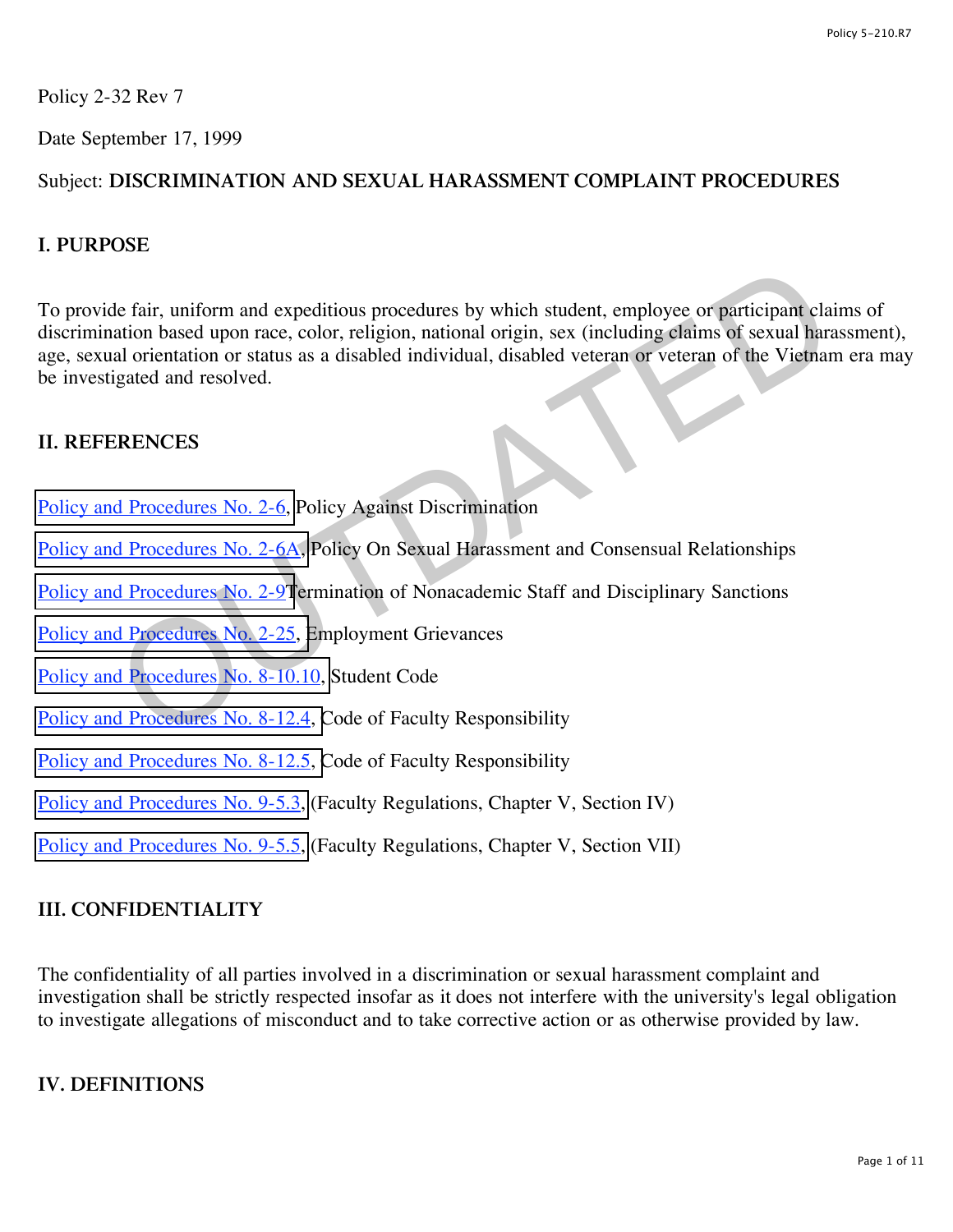Policy 2-32 Rev 7

Date September 17, 1999

# Subject: **DISCRIMINATION AND SEXUAL HARASSMENT COMPLAINT PROCEDURES**

## **I. PURPOSE**

To provide fair, uniform and expeditious procedures by which student, employee or participant claims of discrimination based upon race, color, religion, national origin, sex (including claims of sexual harassment), age, sexual orientation or status as a disabled individual, disabled veteran or veteran of the Vietnam era may be investigated and resolved. de fair, uniform and expeditious procedures by which student, employee or participant cland<br>ation based upon race, color, religion, national origin, sex (including elaims of sexual hara<br>al orientation or status as a disabl

## **II. REFERENCES**

- Policy and Procedures No. 2-6, Policy Against Discrimination
- Policy and Procedures No. 2-6A, Policy On Sexual Harassment and Consensual Relationships
- Policy and Procedures No. 2-9Termination of Nonacademic Staff and Disciplinary Sanctions
- Policy and Procedures No. 2-25, Employment Grievances
- Policy and Procedures No. 8-10.10, Student Code
- Policy and Procedures No. 8-12.4, Code of Faculty Responsibility
- [Policy and Procedures No. 8-12.5, C](http://www.regulations.utah.edu/academics/6-316.html)ode of Faculty Responsibility
- [Policy and Procedures No. 9-5.3,](http://www.regulations.utah.edu/academics/6-305.html) (Faculty Regulations, Chapter V, Section IV)
- [Policy and Procedures No. 9-5.5,](http://www.regulations.utah.edu/academics/6-308.html) (Faculty Regulations, Chapter V, Section VII)

# **III. CONFIDENTIALITY**

The confidentiality of all parties involved in a discrimination or sexual harassment complaint and investigation shall be strictly respected insofar as it does not interfere with the university's legal obligation to investigate allegations of misconduct and to take corrective action or as otherwise provided by law.

#### **IV. DEFINITIONS**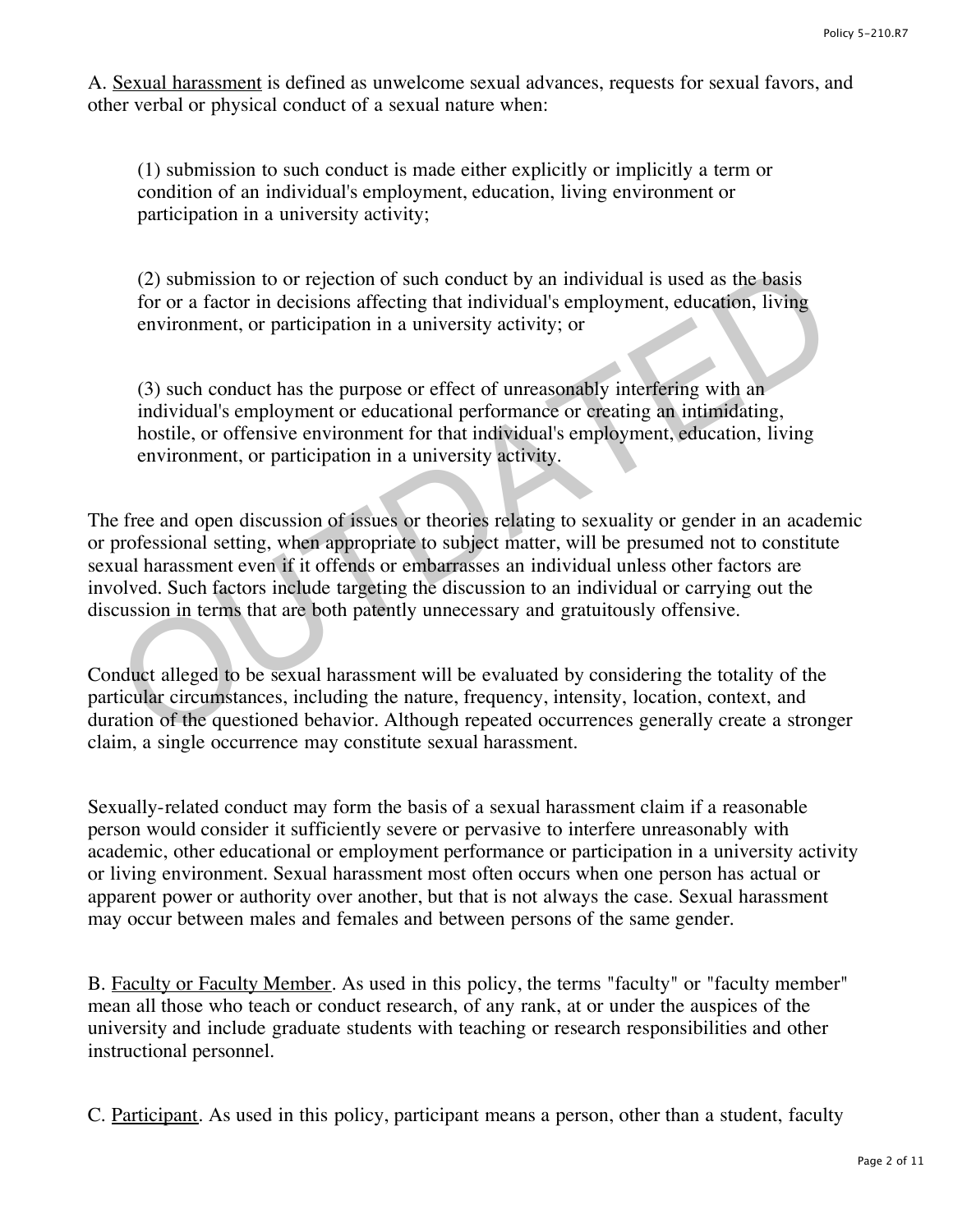A. Sexual harassment is defined as unwelcome sexual advances, requests for sexual favors, and other verbal or physical conduct of a sexual nature when:

(1) submission to such conduct is made either explicitly or implicitly a term or condition of an individual's employment, education, living environment or participation in a university activity;

(2) submission to or rejection of such conduct by an individual is used as the basis for or a factor in decisions affecting that individual's employment, education, living environment, or participation in a university activity; or

(3) such conduct has the purpose or effect of unreasonably interfering with an individual's employment or educational performance or creating an intimidating, hostile, or offensive environment for that individual's employment, education, living environment, or participation in a university activity.

The free and open discussion of issues or theories relating to sexuality or gender in an academic or professional setting, when appropriate to subject matter, will be presumed not to constitute sexual harassment even if it offends or embarrasses an individual unless other factors are involved. Such factors include targeting the discussion to an individual or carrying out the discussion in terms that are both patently unnecessary and gratuitously offensive. (2) submission to or rejection of such conduct by an individual is used as the basis<br>for or a factor in decisions affecting that individual's employment, education, living<br>environment, or participation in a university act

Conduct alleged to be sexual harassment will be evaluated by considering the totality of the particular circumstances, including the nature, frequency, intensity, location, context, and duration of the questioned behavior. Although repeated occurrences generally create a stronger claim, a single occurrence may constitute sexual harassment.

Sexually-related conduct may form the basis of a sexual harassment claim if a reasonable person would consider it sufficiently severe or pervasive to interfere unreasonably with academic, other educational or employment performance or participation in a university activity or living environment. Sexual harassment most often occurs when one person has actual or apparent power or authority over another, but that is not always the case. Sexual harassment may occur between males and females and between persons of the same gender.

B. Faculty or Faculty Member. As used in this policy, the terms "faculty" or "faculty member" mean all those who teach or conduct research, of any rank, at or under the auspices of the university and include graduate students with teaching or research responsibilities and other instructional personnel.

C. Participant. As used in this policy, participant means a person, other than a student, faculty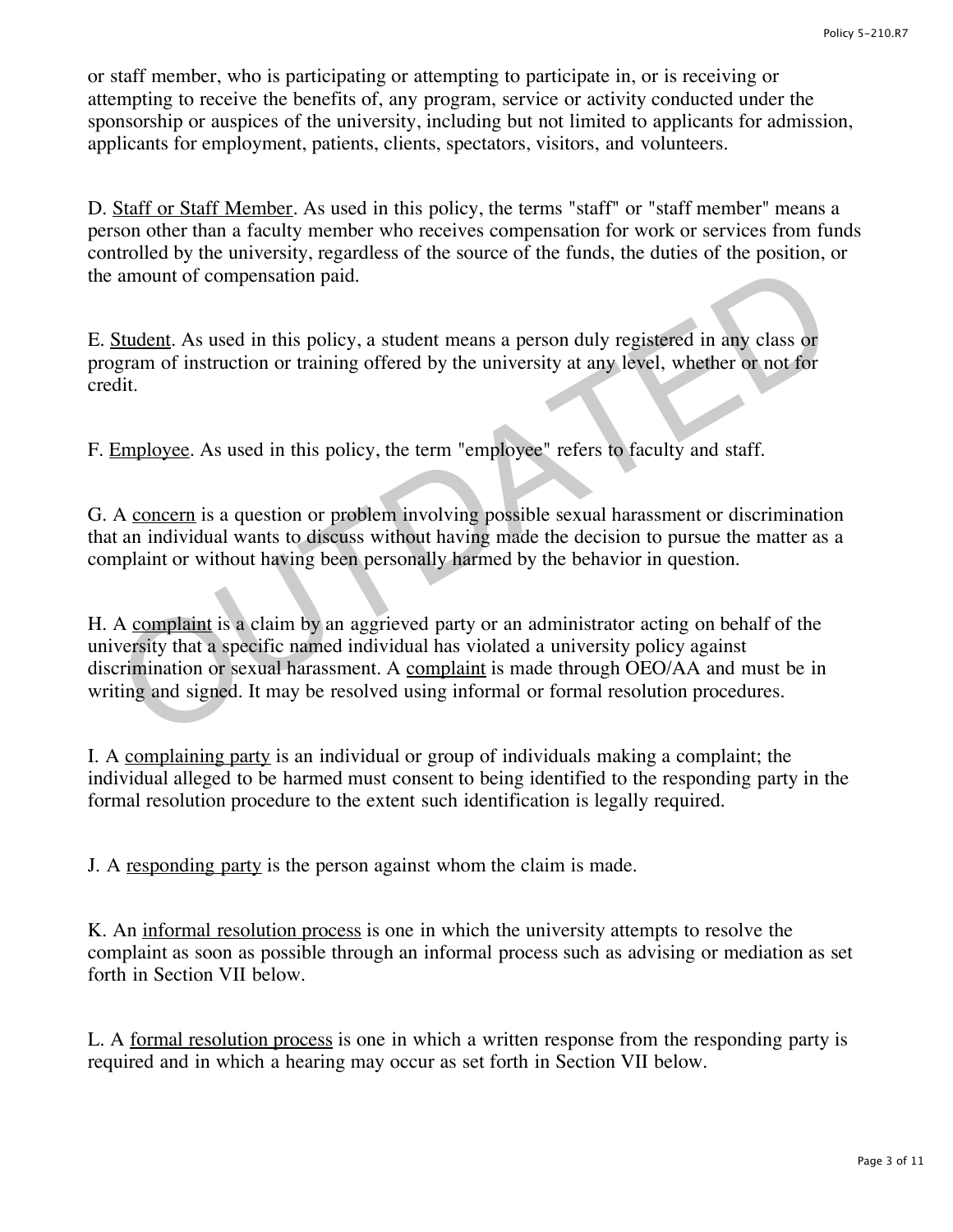or staff member, who is participating or attempting to participate in, or is receiving or attempting to receive the benefits of, any program, service or activity conducted under the sponsorship or auspices of the university, including but not limited to applicants for admission, applicants for employment, patients, clients, spectators, visitors, and volunteers.

D. Staff or Staff Member. As used in this policy, the terms "staff" or "staff member" means a person other than a faculty member who receives compensation for work or services from funds controlled by the university, regardless of the source of the funds, the duties of the position, or the amount of compensation paid.

E. Student. As used in this policy, a student means a person duly registered in any class or program of instruction or training offered by the university at any level, whether or not for credit.

F. Employee. As used in this policy, the term "employee" refers to faculty and staff.

G. A concern is a question or problem involving possible sexual harassment or discrimination that an individual wants to discuss without having made the decision to pursue the matter as a complaint or without having been personally harmed by the behavior in question.

H. A complaint is a claim by an aggrieved party or an administrator acting on behalf of the university that a specific named individual has violated a university policy against discrimination or sexual harassment. A complaint is made through OEO/AA and must be in writing and signed. It may be resolved using informal or formal resolution procedures. amount of compensation paid.<br>
Student. As used in this policy, a student means a person duly registered in any class or<br>
gram of instruction or training offered by the university at any level, whether or not for<br>
dit.<br>
A c

I. A complaining party is an individual or group of individuals making a complaint; the individual alleged to be harmed must consent to being identified to the responding party in the formal resolution procedure to the extent such identification is legally required.

J. A responding party is the person against whom the claim is made.

K. An informal resolution process is one in which the university attempts to resolve the complaint as soon as possible through an informal process such as advising or mediation as set forth in Section VII below.

L. A formal resolution process is one in which a written response from the responding party is required and in which a hearing may occur as set forth in Section VII below.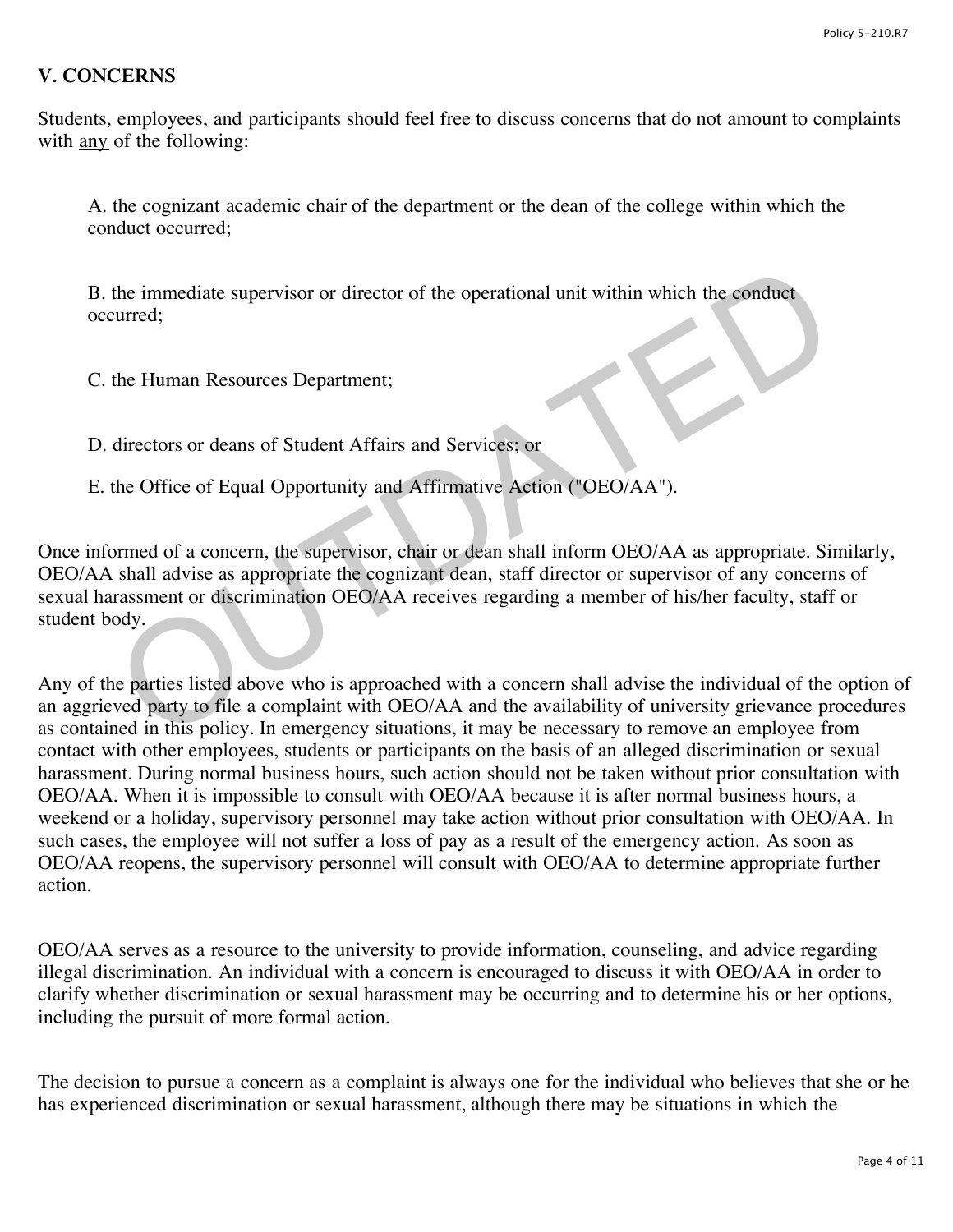### **V. CONCERNS**

Students, employees, and participants should feel free to discuss concerns that do not amount to complaints with <u>any</u> of the following:

A. the cognizant academic chair of the department or the dean of the college within which the conduct occurred;

B. the immediate supervisor or director of the operational unit within which the conduct occurred;

C. the Human Resources Department;

D. directors or deans of Student Affairs and Services; or

E. the Office of Equal Opportunity and Affirmative Action ("OEO/AA").

Once informed of a concern, the supervisor, chair or dean shall inform OEO/AA as appropriate. Similarly, OEO/AA shall advise as appropriate the cognizant dean, staff director or supervisor of any concerns of sexual harassment or discrimination OEO/AA receives regarding a member of his/her faculty, staff or student body. the immediate supervisor or director of the operational unit within which the conduct<br>turred;<br>the Human Resources Department;<br>directors or deans of Student Affairs and Services; or<br>the Office of Equal Opportunity and Affir

Any of the parties listed above who is approached with a concern shall advise the individual of the option of an aggrieved party to file a complaint with OEO/AA and the availability of university grievance procedures as contained in this policy. In emergency situations, it may be necessary to remove an employee from contact with other employees, students or participants on the basis of an alleged discrimination or sexual harassment. During normal business hours, such action should not be taken without prior consultation with OEO/AA. When it is impossible to consult with OEO/AA because it is after normal business hours, a weekend or a holiday, supervisory personnel may take action without prior consultation with OEO/AA. In such cases, the employee will not suffer a loss of pay as a result of the emergency action. As soon as OEO/AA reopens, the supervisory personnel will consult with OEO/AA to determine appropriate further action.

OEO/AA serves as a resource to the university to provide information, counseling, and advice regarding illegal discrimination. An individual with a concern is encouraged to discuss it with OEO/AA in order to clarify whether discrimination or sexual harassment may be occurring and to determine his or her options, including the pursuit of more formal action.

The decision to pursue a concern as a complaint is always one for the individual who believes that she or he has experienced discrimination or sexual harassment, although there may be situations in which the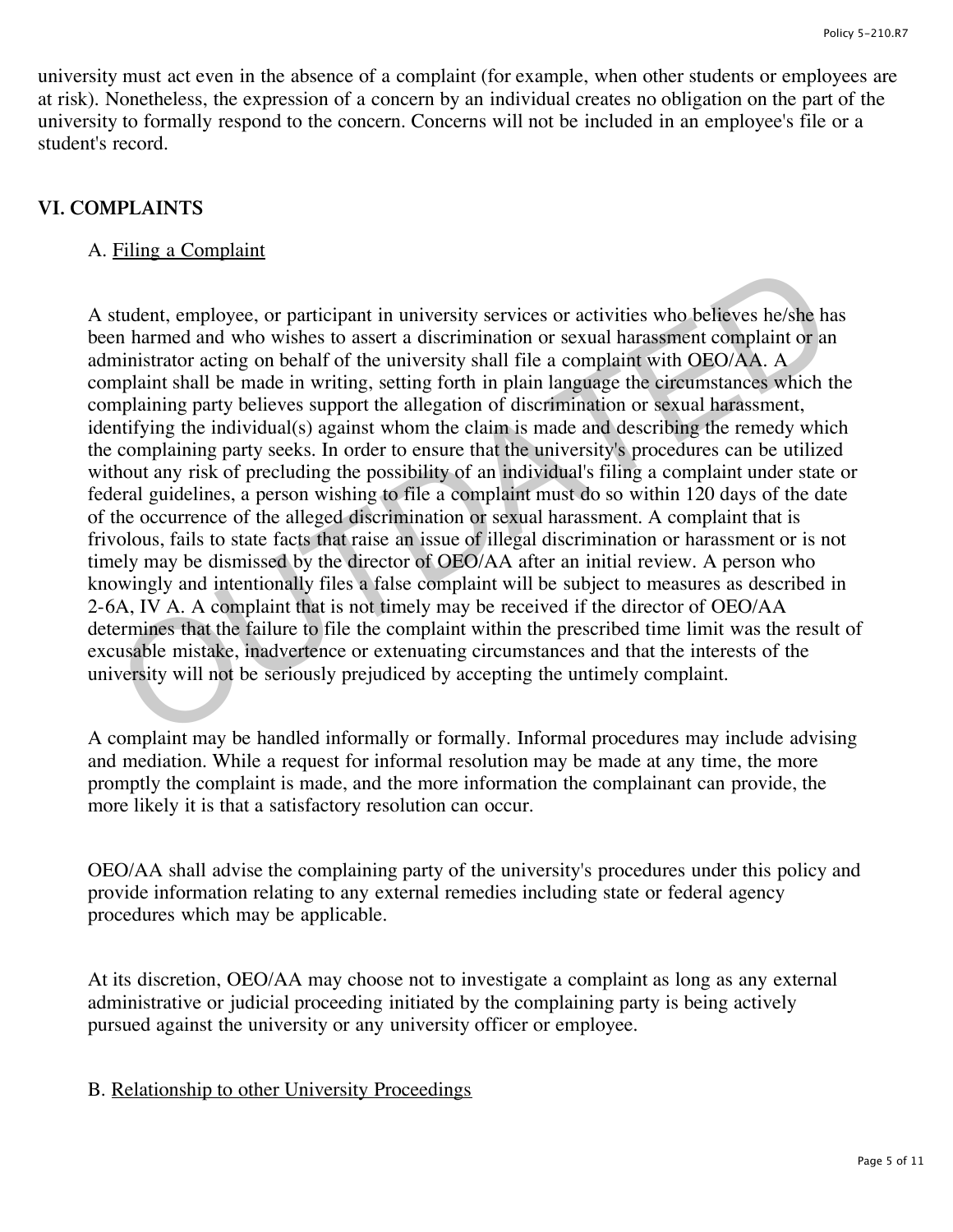university must act even in the absence of a complaint (for example, when other students or employees are at risk). Nonetheless, the expression of a concern by an individual creates no obligation on the part of the university to formally respond to the concern. Concerns will not be included in an employee's file or a student's record.

## **VI. COMPLAINTS**

### A. Filing a Complaint

A student, employee, or participant in university services or activities who believes he/she has been harmed and who wishes to assert a discrimination or sexual harassment complaint or an administrator acting on behalf of the university shall file a complaint with OEO/AA. A complaint shall be made in writing, setting forth in plain language the circumstances which the complaining party believes support the allegation of discrimination or sexual harassment, identifying the individual(s) against whom the claim is made and describing the remedy which the complaining party seeks. In order to ensure that the university's procedures can be utilized without any risk of precluding the possibility of an individual's filing a complaint under state or federal guidelines, a person wishing to file a complaint must do so within 120 days of the date of the occurrence of the alleged discrimination or sexual harassment. A complaint that is frivolous, fails to state facts that raise an issue of illegal discrimination or harassment or is not timely may be dismissed by the director of OEO/AA after an initial review. A person who knowingly and intentionally files a false complaint will be subject to measures as described in 2-6A, IV A. A complaint that is not timely may be received if the director of OEO/AA determines that the failure to file the complaint within the prescribed time limit was the result of excusable mistake, inadvertence or extenuating circumstances and that the interests of the university will not be seriously prejudiced by accepting the untimely complaint. student, employee, or participant in university services or activities who believes he/she has the ministrator acting on behall of the university services or activities who believes he/she has the amplaint of an infinistra

A complaint may be handled informally or formally. Informal procedures may include advising and mediation. While a request for informal resolution may be made at any time, the more promptly the complaint is made, and the more information the complainant can provide, the more likely it is that a satisfactory resolution can occur.

OEO/AA shall advise the complaining party of the university's procedures under this policy and provide information relating to any external remedies including state or federal agency procedures which may be applicable.

At its discretion, OEO/AA may choose not to investigate a complaint as long as any external administrative or judicial proceeding initiated by the complaining party is being actively pursued against the university or any university officer or employee.

B. Relationship to other University Proceedings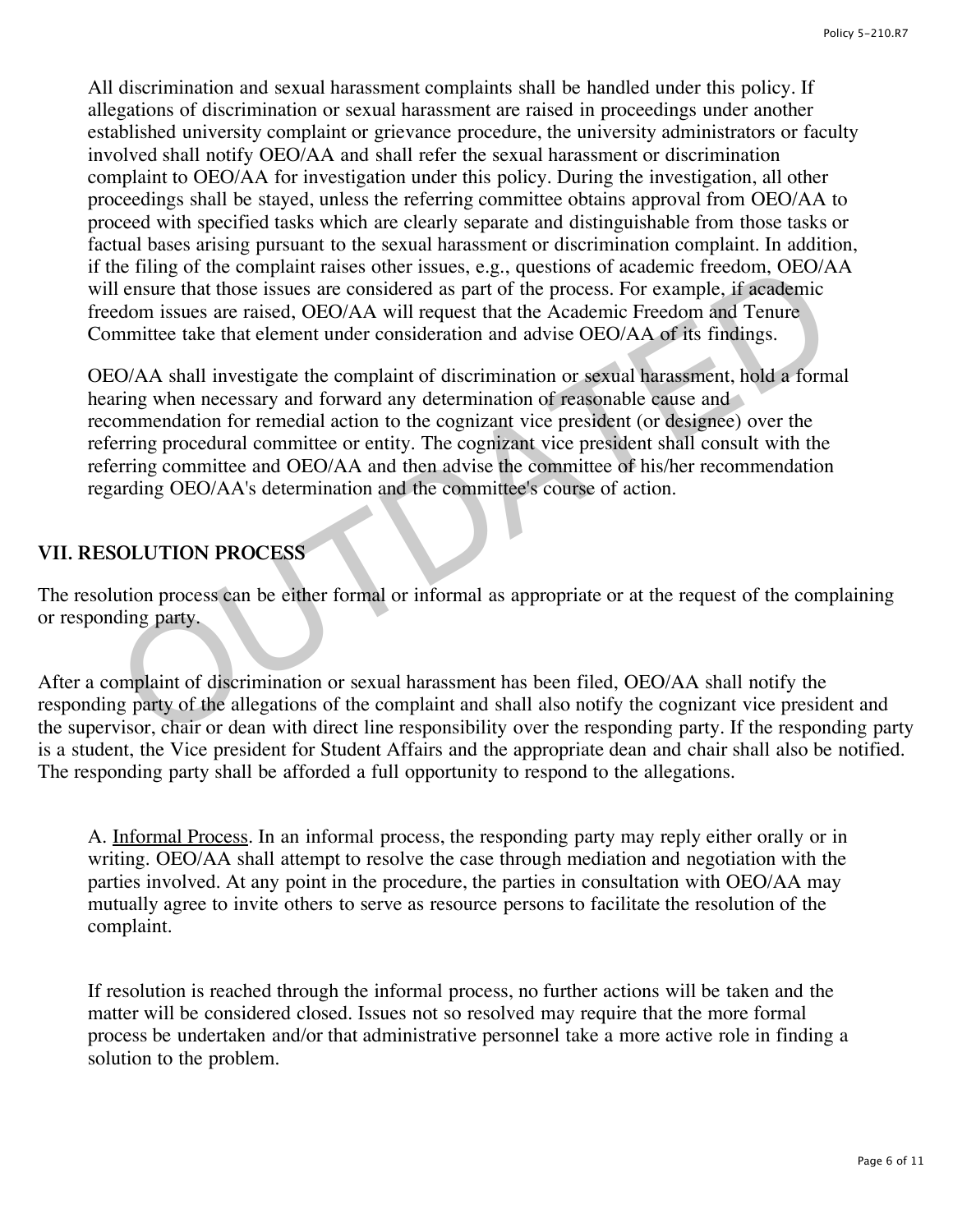All discrimination and sexual harassment complaints shall be handled under this policy. If allegations of discrimination or sexual harassment are raised in proceedings under another established university complaint or grievance procedure, the university administrators or faculty involved shall notify OEO/AA and shall refer the sexual harassment or discrimination complaint to OEO/AA for investigation under this policy. During the investigation, all other proceedings shall be stayed, unless the referring committee obtains approval from OEO/AA to proceed with specified tasks which are clearly separate and distinguishable from those tasks or factual bases arising pursuant to the sexual harassment or discrimination complaint. In addition, if the filing of the complaint raises other issues, e.g., questions of academic freedom, OEO/AA will ensure that those issues are considered as part of the process. For example, if academic freedom issues are raised, OEO/AA will request that the Academic Freedom and Tenure Committee take that element under consideration and advise OEO/AA of its findings.

OEO/AA shall investigate the complaint of discrimination or sexual harassment, hold a formal hearing when necessary and forward any determination of reasonable cause and recommendation for remedial action to the cognizant vice president (or designee) over the referring procedural committee or entity. The cognizant vice president shall consult with the referring committee and OEO/AA and then advise the committee of his/her recommendation regarding OEO/AA's determination and the committee's course of action. ne ning or the companir ranses otner issues, e.g., questions or academic rrecosom, OEO/AA ell ensure that these issues are considered as part of the process. For example, if academic reconomical edom issues are raised, OEO

# **VII. RESOLUTION PROCESS**

The resolution process can be either formal or informal as appropriate or at the request of the complaining or responding party.

After a complaint of discrimination or sexual harassment has been filed, OEO/AA shall notify the responding party of the allegations of the complaint and shall also notify the cognizant vice president and the supervisor, chair or dean with direct line responsibility over the responding party. If the responding party is a student, the Vice president for Student Affairs and the appropriate dean and chair shall also be notified. The responding party shall be afforded a full opportunity to respond to the allegations.

A. Informal Process. In an informal process, the responding party may reply either orally or in writing. OEO/AA shall attempt to resolve the case through mediation and negotiation with the parties involved. At any point in the procedure, the parties in consultation with OEO/AA may mutually agree to invite others to serve as resource persons to facilitate the resolution of the complaint.

If resolution is reached through the informal process, no further actions will be taken and the matter will be considered closed. Issues not so resolved may require that the more formal process be undertaken and/or that administrative personnel take a more active role in finding a solution to the problem.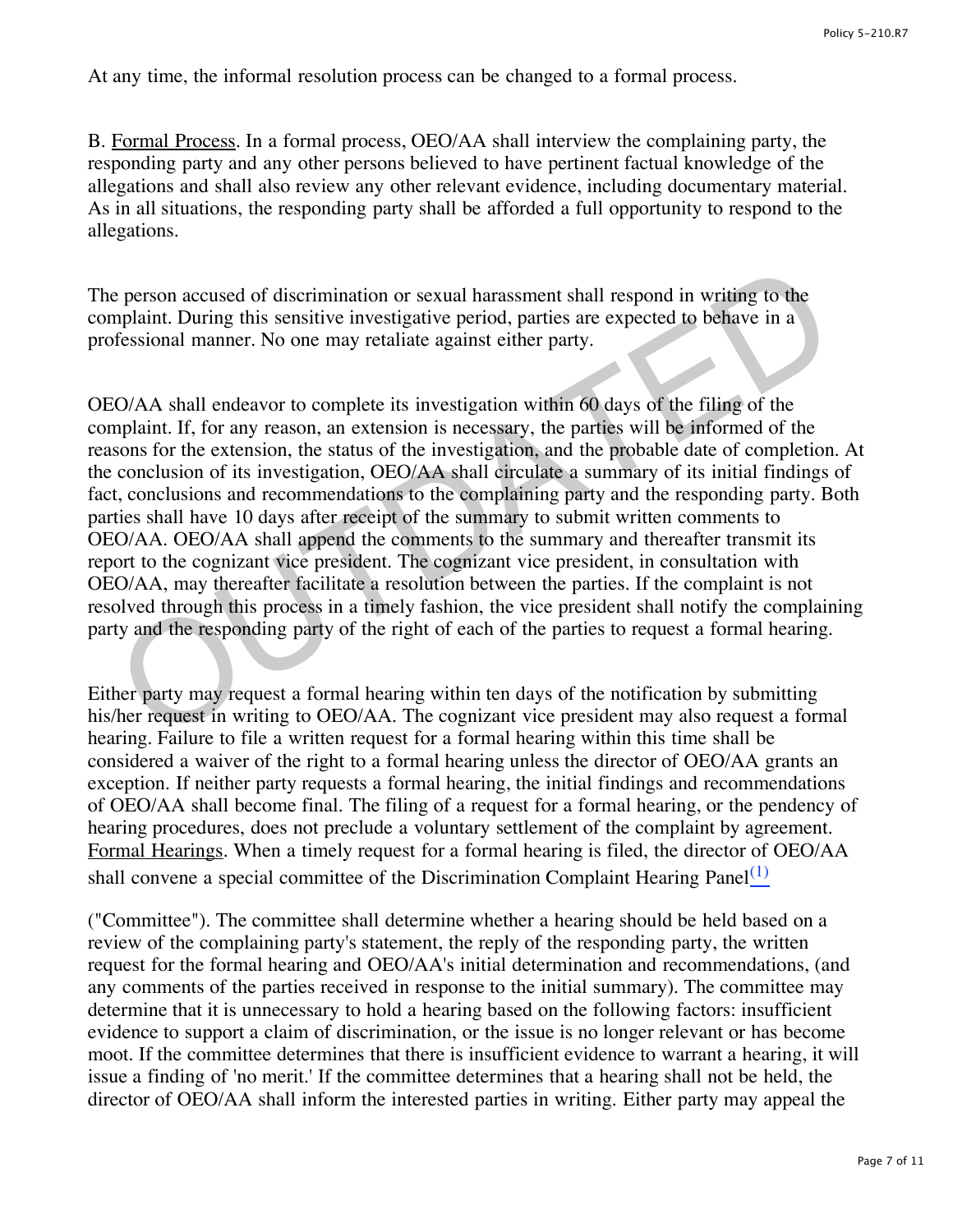At any time, the informal resolution process can be changed to a formal process.

B. Formal Process. In a formal process, OEO/AA shall interview the complaining party, the responding party and any other persons believed to have pertinent factual knowledge of the allegations and shall also review any other relevant evidence, including documentary material. As in all situations, the responding party shall be afforded a full opportunity to respond to the allegations.

The person accused of discrimination or sexual harassment shall respond in writing to the complaint. During this sensitive investigative period, parties are expected to behave in a professional manner. No one may retaliate against either party.

OEO/AA shall endeavor to complete its investigation within 60 days of the filing of the complaint. If, for any reason, an extension is necessary, the parties will be informed of the reasons for the extension, the status of the investigation, and the probable date of completion. At the conclusion of its investigation, OEO/AA shall circulate a summary of its initial findings of fact, conclusions and recommendations to the complaining party and the responding party. Both parties shall have 10 days after receipt of the summary to submit written comments to OEO/AA. OEO/AA shall append the comments to the summary and thereafter transmit its report to the cognizant vice president. The cognizant vice president, in consultation with OEO/AA, may thereafter facilitate a resolution between the parties. If the complaint is not resolved through this process in a timely fashion, the vice president shall notify the complaining party and the responding party of the right of each of the parties to request a formal hearing. e person accused of discrimination or sexual harassment shall respond in writing to the mplaint. During this sensitive investigative period, parties are expected to behave in a fessional manner. No one may retaliate agains

Either party may request a formal hearing within ten days of the notification by submitting his/her request in writing to OEO/AA. The cognizant vice president may also request a formal hearing. Failure to file a written request for a formal hearing within this time shall be considered a waiver of the right to a formal hearing unless the director of OEO/AA grants an exception. If neither party requests a formal hearing, the initial findings and recommendations of OEO/AA shall become final. The filing of a request for a formal hearing, or the pendency of hearing procedures, does not preclude a voluntary settlement of the complaint by agreement. Formal Hearings. When a timely request for a formal hearing is filed, the director of OEO/AA shall convene a special committee of the Discrimination Complaint Hearing Panel $\frac{(1)}{(1)}$  $\frac{(1)}{(1)}$  $\frac{(1)}{(1)}$ 

("Committee"). The committee shall determine whether a hearing should be held based on a review of the complaining party's statement, the reply of the responding party, the written request for the formal hearing and OEO/AA's initial determination and recommendations, (and any comments of the parties received in response to the initial summary). The committee may determine that it is unnecessary to hold a hearing based on the following factors: insufficient evidence to support a claim of discrimination, or the issue is no longer relevant or has become moot. If the committee determines that there is insufficient evidence to warrant a hearing, it will issue a finding of 'no merit.' If the committee determines that a hearing shall not be held, the director of OEO/AA shall inform the interested parties in writing. Either party may appeal the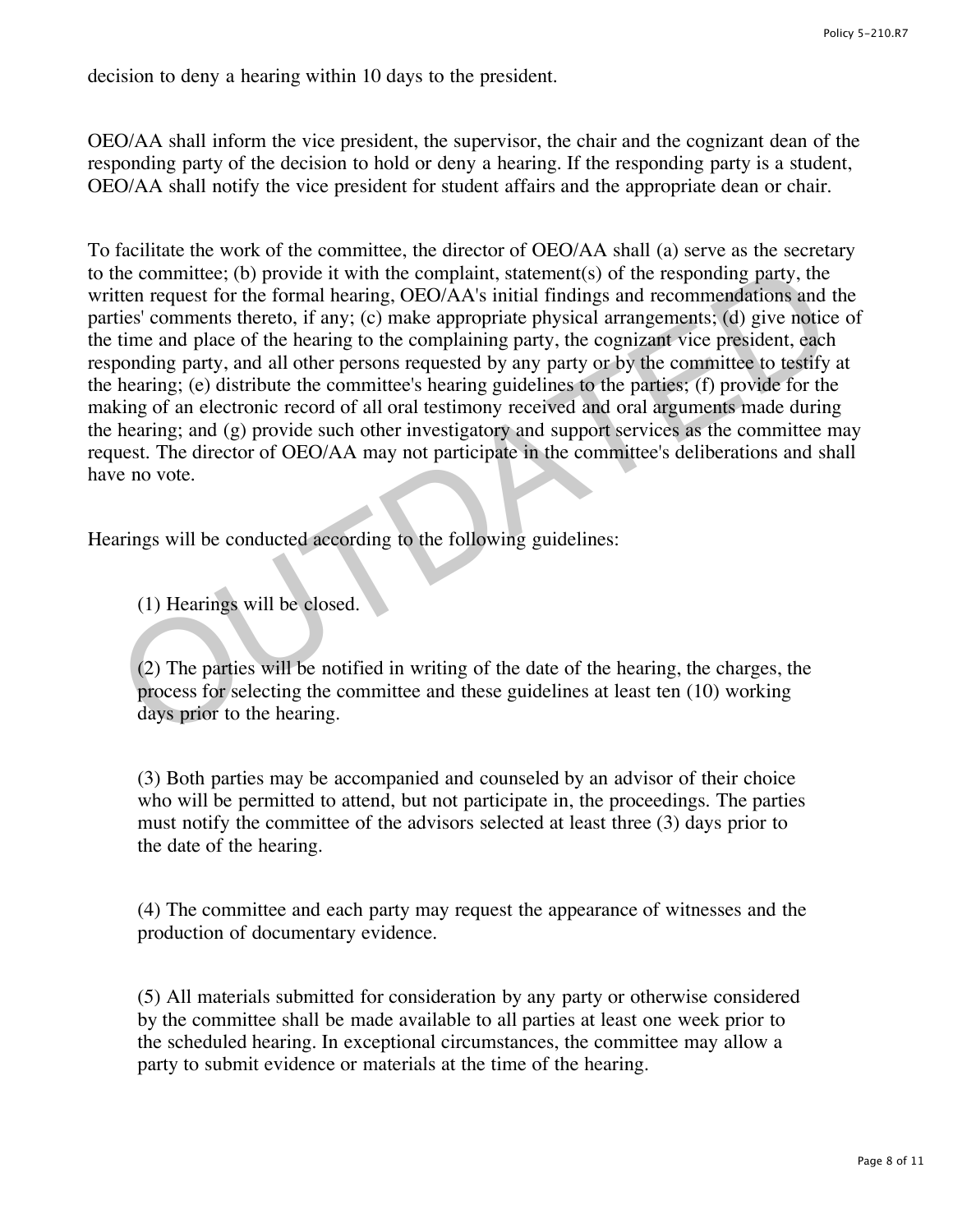decision to deny a hearing within 10 days to the president.

OEO/AA shall inform the vice president, the supervisor, the chair and the cognizant dean of the responding party of the decision to hold or deny a hearing. If the responding party is a student, OEO/AA shall notify the vice president for student affairs and the appropriate dean or chair.

To facilitate the work of the committee, the director of OEO/AA shall (a) serve as the secretary to the committee; (b) provide it with the complaint, statement(s) of the responding party, the written request for the formal hearing, OEO/AA's initial findings and recommendations and the parties' comments thereto, if any; (c) make appropriate physical arrangements; (d) give notice of the time and place of the hearing to the complaining party, the cognizant vice president, each responding party, and all other persons requested by any party or by the committee to testify at the hearing; (e) distribute the committee's hearing guidelines to the parties; (f) provide for the making of an electronic record of all oral testimony received and oral arguments made during the hearing; and (g) provide such other investigatory and support services as the committee may request. The director of OEO/AA may not participate in the committee's deliberations and shall have no vote. the committee; (b) provide it with the complaint, statement(s) of the responding party, the the request for the formal hearing, OEO/AA's initial findings and recommendations and leasting in the fusion trajestic fusion com

Hearings will be conducted according to the following guidelines:

(1) Hearings will be closed.

(2) The parties will be notified in writing of the date of the hearing, the charges, the process for selecting the committee and these guidelines at least ten (10) working days prior to the hearing.

(3) Both parties may be accompanied and counseled by an advisor of their choice who will be permitted to attend, but not participate in, the proceedings. The parties must notify the committee of the advisors selected at least three (3) days prior to the date of the hearing.

(4) The committee and each party may request the appearance of witnesses and the production of documentary evidence.

(5) All materials submitted for consideration by any party or otherwise considered by the committee shall be made available to all parties at least one week prior to the scheduled hearing. In exceptional circumstances, the committee may allow a party to submit evidence or materials at the time of the hearing.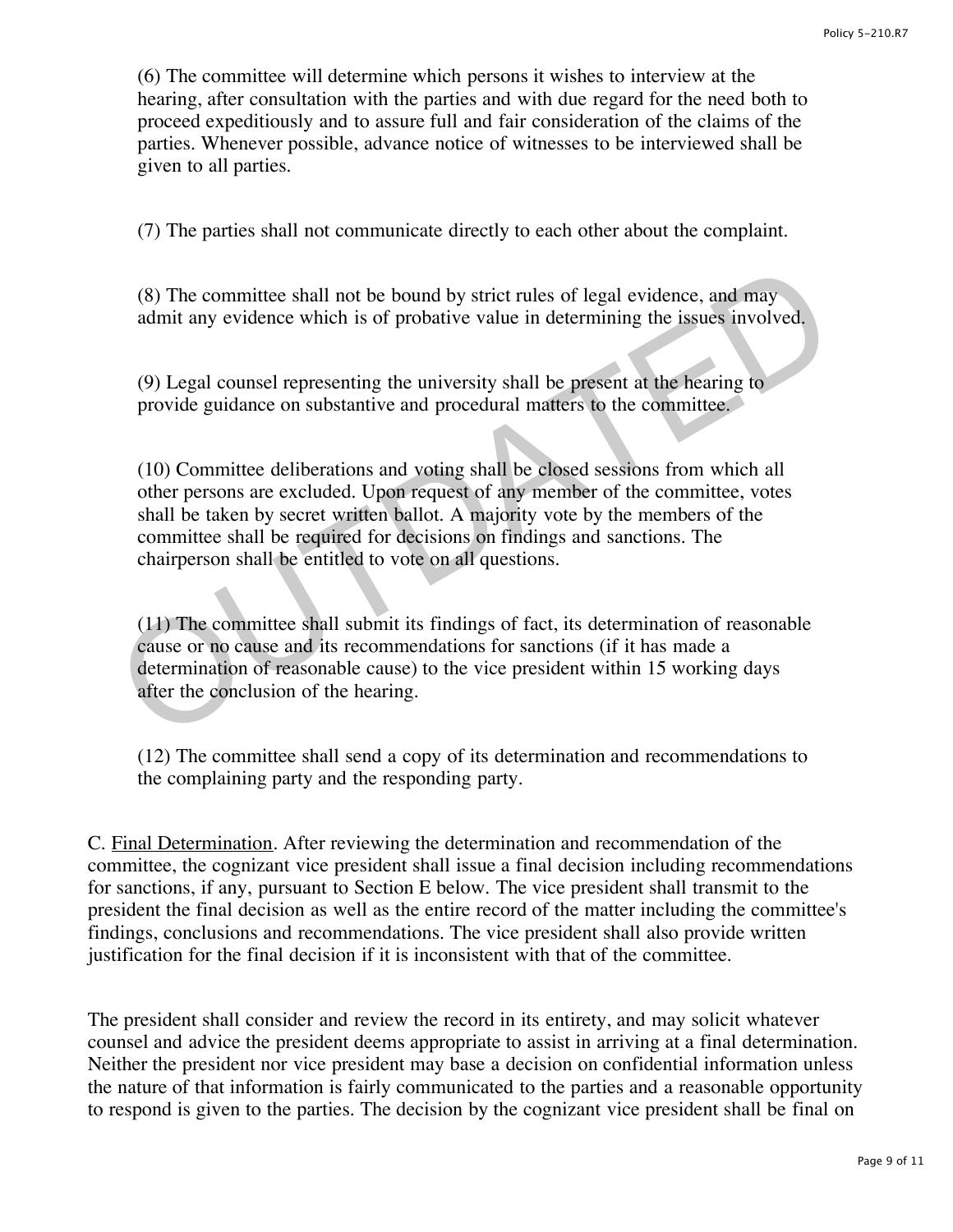(6) The committee will determine which persons it wishes to interview at the hearing, after consultation with the parties and with due regard for the need both to proceed expeditiously and to assure full and fair consideration of the claims of the parties. Whenever possible, advance notice of witnesses to be interviewed shall be given to all parties.

(7) The parties shall not communicate directly to each other about the complaint.

(8) The committee shall not be bound by strict rules of legal evidence, and may admit any evidence which is of probative value in determining the issues involved.

(9) Legal counsel representing the university shall be present at the hearing to provide guidance on substantive and procedural matters to the committee.

(10) Committee deliberations and voting shall be closed sessions from which all other persons are excluded. Upon request of any member of the committee, votes shall be taken by secret written ballot. A majority vote by the members of the committee shall be required for decisions on findings and sanctions. The chairperson shall be entitled to vote on all questions. (8) The committee shall not be bound by strict rules of legal evidence, and may<br>admit any evidence which is of probative value in determining the issues involved.<br>(9) Legal counsel representing the university shall be pre

(11) The committee shall submit its findings of fact, its determination of reasonable cause or no cause and its recommendations for sanctions (if it has made a determination of reasonable cause) to the vice president within 15 working days after the conclusion of the hearing.

(12) The committee shall send a copy of its determination and recommendations to the complaining party and the responding party.

C. Final Determination. After reviewing the determination and recommendation of the committee, the cognizant vice president shall issue a final decision including recommendations for sanctions, if any, pursuant to Section E below. The vice president shall transmit to the president the final decision as well as the entire record of the matter including the committee's findings, conclusions and recommendations. The vice president shall also provide written justification for the final decision if it is inconsistent with that of the committee.

The president shall consider and review the record in its entirety, and may solicit whatever counsel and advice the president deems appropriate to assist in arriving at a final determination. Neither the president nor vice president may base a decision on confidential information unless the nature of that information is fairly communicated to the parties and a reasonable opportunity to respond is given to the parties. The decision by the cognizant vice president shall be final on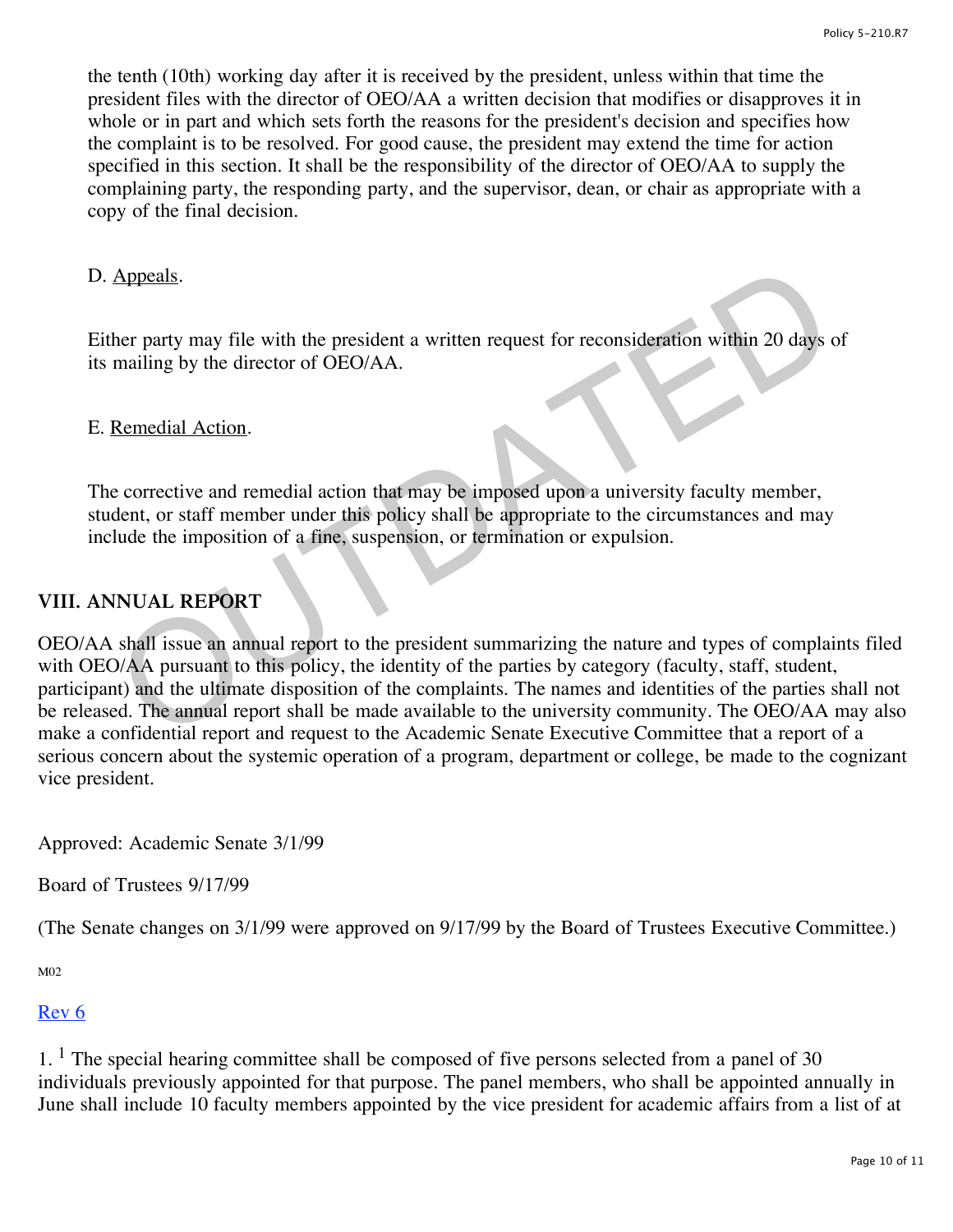the tenth (10th) working day after it is received by the president, unless within that time the president files with the director of OEO/AA a written decision that modifies or disapproves it in whole or in part and which sets forth the reasons for the president's decision and specifies how the complaint is to be resolved. For good cause, the president may extend the time for action specified in this section. It shall be the responsibility of the director of OEO/AA to supply the complaining party, the responding party, and the supervisor, dean, or chair as appropriate with a copy of the final decision.

#### D. Appeals.

Either party may file with the president a written request for reconsideration within 20 days of its mailing by the director of OEO/AA.

#### E. Remedial Action.

The corrective and remedial action that may be imposed upon a university faculty member, student, or staff member under this policy shall be appropriate to the circumstances and may include the imposition of a fine, suspension, or termination or expulsion.

## **VIII. ANNUAL REPORT**

OEO/AA shall issue an annual report to the president summarizing the nature and types of complaints filed with OEO/AA pursuant to this policy, the identity of the parties by category (faculty, staff, student, participant) and the ultimate disposition of the complaints. The names and identities of the parties shall not be released. The annual report shall be made available to the university community. The OEO/AA may also make a confidential report and request to the Academic Senate Executive Committee that a report of a serious concern about the systemic operation of a program, department or college, be made to the cognizant vice president. Appeals.<br>
Appeals her party may file with the president a written request for reconsideration within 20 days<br>
mailing by the director of OEO/AA.<br>
Remedial Action.<br>
<br>
Remedial Action.<br>
<br>
Remedial Action.<br>
<br>
Action.<br>
<br>
Actio

Approved: Academic Senate 3/1/99

Board of Trustees 9/17/99

(The Senate changes on 3/1/99 were approved on 9/17/99 by the Board of Trustees Executive Committee.)

M02

#### [Rev 6](http://www.regulations.utah.edu/humanResources/revisions_5/5-210.R6.pdf)

 $1<sup>1</sup>$  The special hearing committee shall be composed of five persons selected from a panel of 30 individuals previously appointed for that purpose. The panel members, who shall be appointed annually in June shall include 10 faculty members appointed by the vice president for academic affairs from a list of at